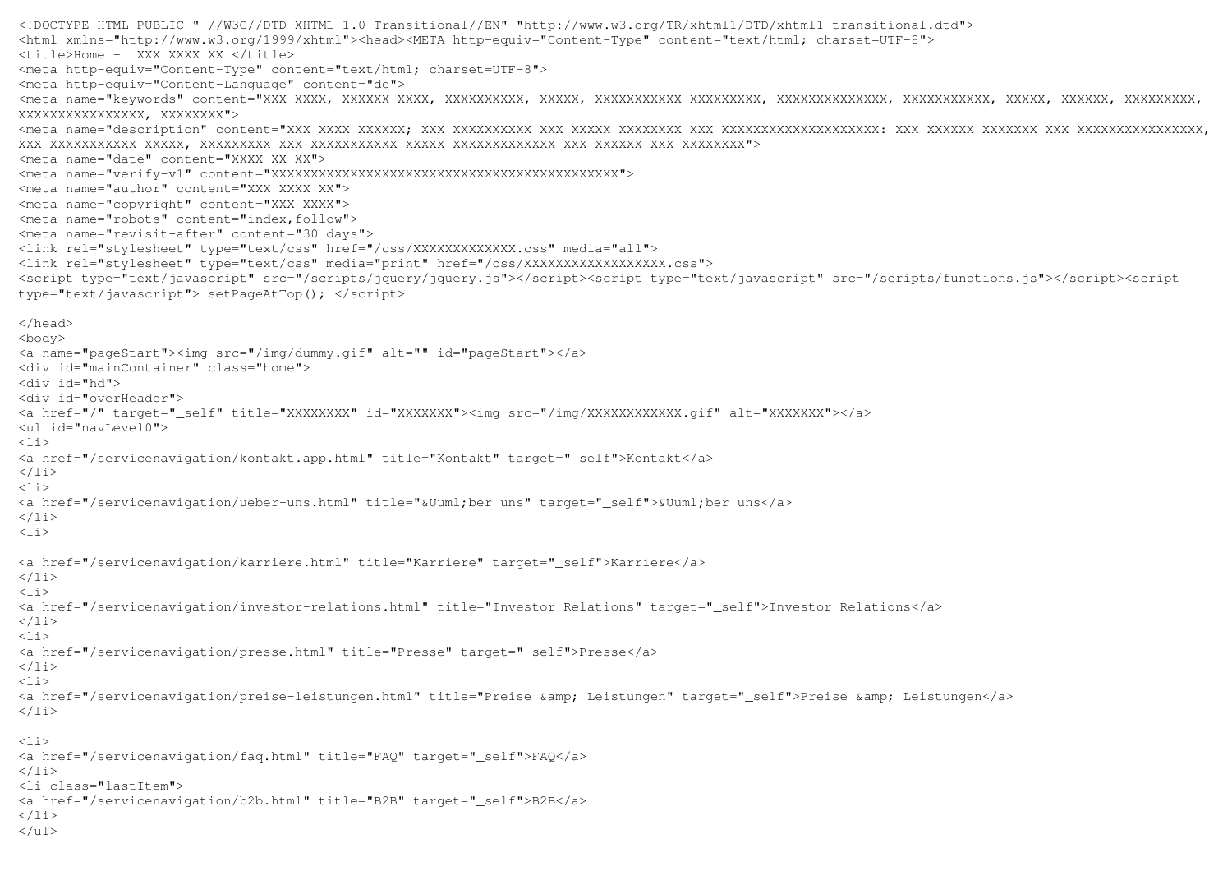```
<!DOCTYPE HTML PUBLIC "-//W3C//DTD XHTML 1.0 Transitional//EN" "http://www.w3.org/TR/xhtml1/DTD/xhtml1-transitional.dtd"> <html xmlns="http://www.w3.org/1999/xhtml"><head><META http-equiv="Content-Type" content="text/html; charset=UTF-8"> <title>Home - XXX XXXX XX </title> 
<meta http-equiv="Content-Type" content="text/html; charset=UTF-8"> <meta http-equiv="Content-Language" content="de"> 
<meta name="keywords" content="XXX XXXX, XXXXXX XXXX, XXXXXXXXXX, XXXXX, XXXXXXXXXXX XXXXXXXXX, XXXXXXXXXXXXXX, XXXXXXXXXXX, XXXXX, XXXXXX, XXXXXXXXX, XXXXXXXXXXXXXXXX, XXXXXXXX"> 
<meta name="description" content="XXX XXXX XXXXXX; XXX XXXXXXXXXX XXX XXXXX XXXXXXXX XXX XXXXXXXXXXXXXXXXXXXX: XXX XXXXXX XXXXXXX XXX XXXXXXXXXXXXXXXX, XXX XXXXXXXXXXX XXXXX, XXXXXXXXX XXX XXXXXXXXXXX XXXXX XXXXXXXXXXXXX XXX XXXXXX XXX XXXXXXXX"> <meta name="date" content="XXXX-XX-XX"> 
<meta name="verify-v1" content="XXXXXXXXXXXXXXXXXXXXXXXXXXXXXXXXXXXXXXXXXXXX"> <meta name="author" content="XXX XXXX XX"> 
<meta name="copyright" content="XXX XXXX"> 
<meta name="robots" content="index,follow"> 
<meta name="revisit-after" content="30 days"> 
<link rel="stylesheet" type="text/css" href="/css/XXXXXXXXXXXXX.css" media="all"> 
<link rel="stylesheet" type="text/css" media="print" href="/css/XXXXXXXXXXXXXXXXXX.css"> 
<script type="text/javascript" src="/scripts/jquery/jquery.js"></script><script type="text/javascript" src="/scripts/functions.js"></script><script type="text/javascript"> setPageAtTop(); </script> </head> <body> 
<a name="pageStart"><img src="/img/dummy.gif" alt="" id="pageStart"></a> <div id="mainContainer" class="home"> <div id="hd"> 
<div id="overHeader"> 
<a href="/" target="_self" title="XXXXXXXX" id="XXXXXXX"><img src="/img/XXXXXXXXXXXX.gif" alt="XXXXXXX"></a> <ul id="navLevel0"> \langleli>

<a href="/servicenavigation/kontakt.app.html" title="Kontakt" target="_self">Kontakt</a> \langle/li>
\langleli>

<a href="/servicenavigation/ueber-uns.html" title="&Uuml;ber uns" target="_self">&Uuml;ber uns</a> \langle/li>
\langleli>
<a href="/servicenavigation/karriere.html" title="Karriere" target="_self">Karriere</a> \langle/li>
\langleli>

<a href="/servicenavigation/investor-relations.html" title="Investor Relations" target="_self">Investor Relations</a> \langle/li>
\langleli>

<a href="/servicenavigation/presse.html" title="Presse" target="_self">Presse</a> \langle/li>
\langleli>
<a href="/servicenavigation/preise-leistungen.html" title="Preise &amp; Leistungen" target="_self">Preise &amp; Leistungen</a>
\langle/li>
\langleli>

<a href="/servicenavigation/faq.html" title="FAQ" target="_self">FAQ</a> \langle/li>

<li class="lastItem"> 
<a href="/servicenavigation/b2b.html" title="B2B" target="_self">B2B</a> \langle/li>

</ul>
```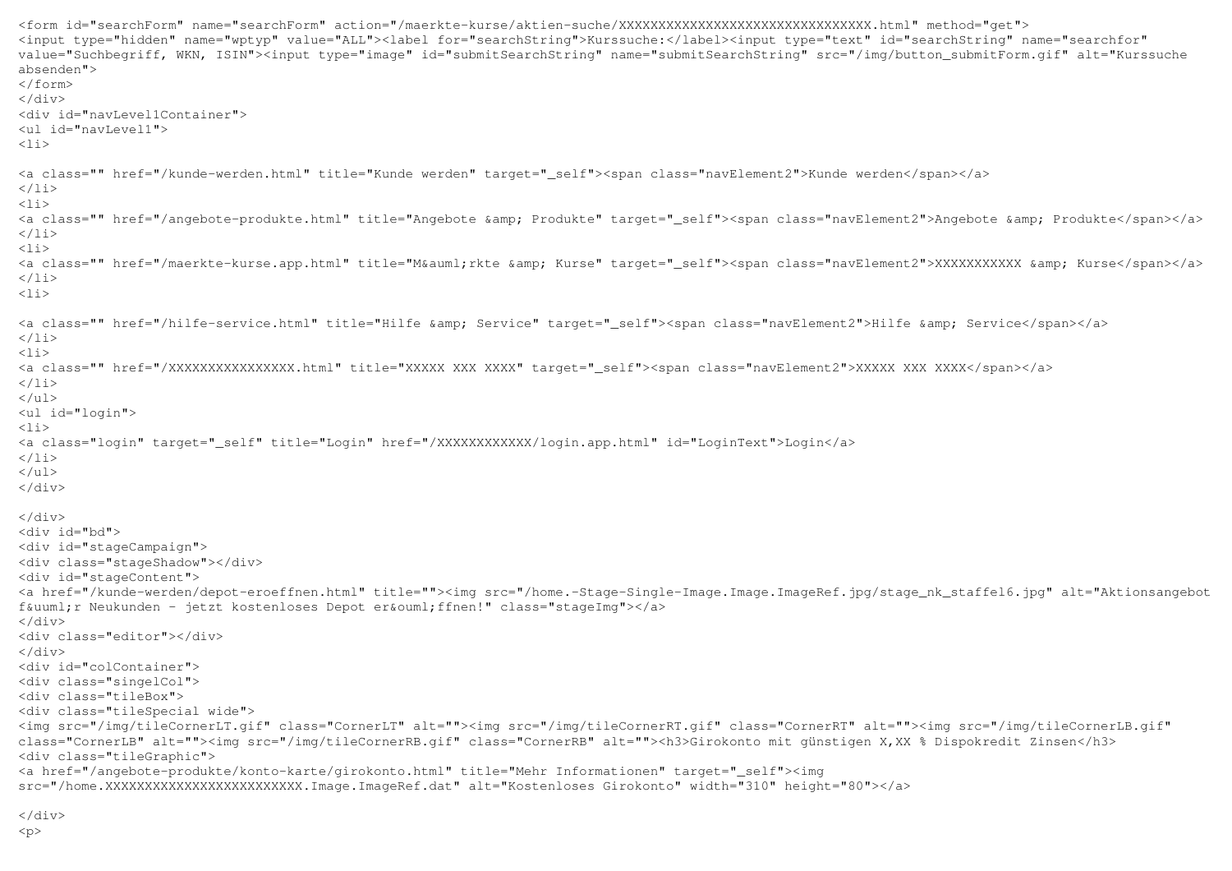```
<form id="searchForm" name="searchForm" action="/maerkte-kurse/aktien-suche/XXXXXXXXXXXXXXXXXXXXXXXXXXXXXXXX.html" method="get"> 
<input type="hidden" name="wptyp" value="ALL"><label for="searchString">Kurssuche:</label><input type="text" id="searchString" name="searchfor" 
value="Suchbegriff, WKN, ISIN"><input type="image" id="submitSearchString" name="submitSearchString" src="/img/button_submitForm.gif" alt="Kurssuche absenden"> \langle/form>
</div> 
<div id="navLevel1Container"> <ul id="navLevel1"> \langleli>
<a class="" href="/kunde-werden.html" title="Kunde werden" target="_self"><span class="navElement2">Kunde werden</span></a> \langle/li>
\langleli>
<a class="" href="/angebote-produkte.html" title="Angebote &amp; Produkte" target="_self"><span class="navElement2">Angebote &amp; Produkte</span></a>
\langle/li>\leq 1 i ><a class="" href="/maerkte-kurse.app.html" title="M&auml;rkte &amp; Kurse" target="_self"><span class="navElement2">XXXXXXXXXXXX &amp; Kurse</span></a>
\langle/li>\langleli>
<a class="" href="/hilfe-service.html" title="Hilfe &amp; Service" target=" self"><span class="navElement2">Hilfe &amp; Service</span></a>
\langle/li>
\langleli>

<a class="" href="/XXXXXXXXXXXXXXXX.html" title="XXXXX XXX XXXX" target="_self"><span class="navElement2">XXXXX XXX XXXX</span></a> \langle/li>
</ul> 
<ul id="login"> \langleli>

<a class="login" target="_self" title="Login" href="/XXXXXXXXXXXX/login.app.html" id="LoginText">Login</a> \langle/li>
</ul> 
</div> </div> 
<div id="bd"> 
<div id="stageCampaign"> 
<div class="stageShadow"></div> <div id="stageContent"> 
<a href="/kunde-werden/depot-eroeffnen.html" title=""><img src="/home.-Stage-Single-Image.Image.ImageRef.jpg/stage_nk_staffel6.jpg" alt="Aktionsangebot für Neukunden - jetzt kostenloses Depot eröffnen!" class="stageImg"></a>
\langlediv>
<div class="editor"></div> \langle div>

<div id="colContainer"> 
<div class="singelCol"> <div class="tileBox"> 
<div class="tileSpecial wide"> 
<img src="/img/tileCornerLT.gif" class="CornerLT" alt=""><img src="/img/tileCornerRT.gif" class="CornerRT" alt=""><img src="/img/tileCornerLB.gif" class="CornerLB" alt=""><img src="/img/tileCornerRB.gif" class="CornerRB" alt=""><h3>Girokonto mit günstigen X,XX % Dispokredit Zinsen</h3> <div class="tileGraphic"> 
<a href="/angebote-produkte/konto-karte/girokonto.html" title="Mehr Informationen" target="_self"><img
src="/home.XXXXXXXXXXXXXXXXXXXXXXXXX.Image.ImageRef.dat" alt="Kostenloses Girokonto" width="310" height="80"></a>
```
 $\langle$ div>  $$p$$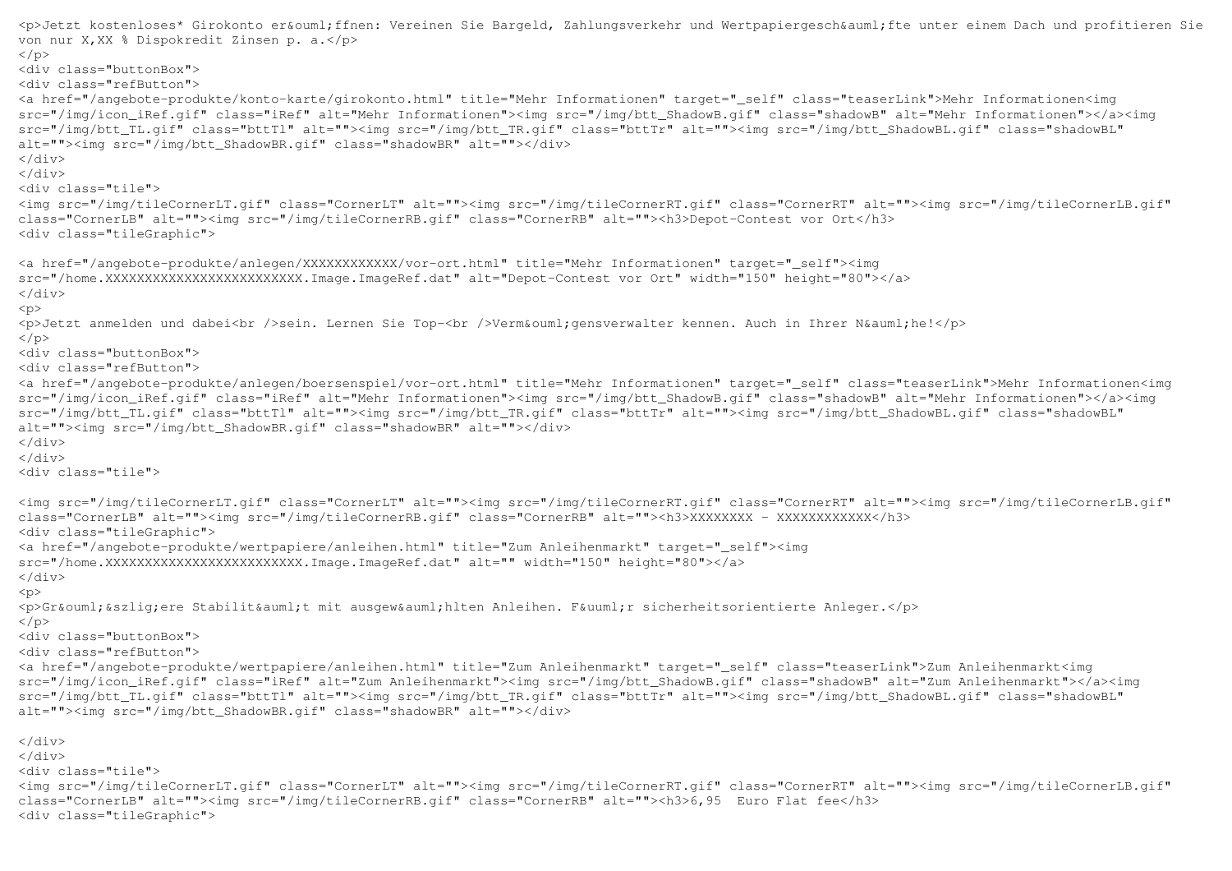```
<p>Jetzt kostenloses* Girokonto er&ouml;ffnen: Vereinen Sie Bargeld, Zahlungsverkehr und Wertpapiergesch&auml;fte unter einem Dach und profitieren Sie
von nur X,XX % Dispokredit Zinsen p. a.</p> \langle/p>

<div class="buttonBox"> 
<div class="refButton"> 
<a href="/angebote-produkte/konto-karte/girokonto.html" title="Mehr Informationen" target="_self" class="teaserLink">Mehr Informationen<img 
src="/img/icon_iRef.gif" class="iRef" alt="Mehr Informationen"><img src="/img/btt_ShadowB.gif" class="shadowB" alt="Mehr Informationen"></a><img src="/img/btt_TL.gif" class="bttTl" alt=""><img src="/img/btt_TR.gif" class="bttTr" alt=""><img src="/img/btt_ShadowBL.gif" class="shadowBL" alt=""><img src="/img/btt_ShadowBR.gif" class="shadowBR" alt=""></div> </div> 
</div> 
<div class="tile"> 
<img src="/img/tileCornerLT.gif" class="CornerLT" alt=""><img src="/img/tileCornerRT.gif" class="CornerRT" alt=""><img src="/img/tileCornerLB.gif" class="CornerLB" alt=""><img src="/img/tileCornerRB.gif" class="CornerRB" alt=""><h3>Depot-Contest vor Ort</h3> <div class="tileGraphic"> <a href="/angebote-produkte/anlegen/XXXXXXXXXXXX/vor-ort.html" title="Mehr Informationen" target="_self"><img 
src="/home.XXXXXXXXXXXXXXXXXXXXXXXXX.Image.ImageRef.dat" alt="Depot-Contest vor Ort" width="150" height="80"></a> \langlediv>
p<p>Jetzt anmelden und dabei<br />sein. Lernen Sie Top-<br />Verm&ouml;gensverwalter kennen. Auch in Ihrer N&auml;he!</p>
\langle/p>

<div class="buttonBox"> 
<div class="refButton"> 
<a href="/angebote-produkte/anlegen/boersenspiel/vor-ort.html" title="Mehr Informationen" target="_self" class="teaserLink">Mehr Informationen<img src="/img/icon_iRef.gif" class="iRef" alt="Mehr Informationen"><img src="/img/btt_ShadowB.gif" class="shadowB" alt="Mehr Informationen"></a><img src="/img/btt_TL.gif" class="bttTl" alt=""><img src="/img/btt_TR.gif" class="bttTr" alt=""><img src="/img/btt_ShadowBL.gif" class="shadowBL"
alt=""><img src="/img/btt_ShadowBR.gif" class="shadowBR" alt=""></div> </div> 
</div> 
<div class="tile"> <img src="/img/tileCornerLT.gif" class="CornerLT" alt=""><img src="/img/tileCornerRT.gif" class="CornerRT" alt=""><img src="/img/tileCornerLB.gif" class="CornerLB" alt=""><img src="/img/tileCornerRB.gif" class="CornerRB" alt=""><h3>XXXXXXXX - XXXXXXXXXXXX</h3> <div class="tileGraphic"> 
<a href="/angebote-produkte/wertpapiere/anleihen.html" title="Zum Anleihenmarkt" target="_self"><img src="/home.XXXXXXXXXXXXXXXXXXXXXXXXXXX.Image.ImageRef.dat" alt="" width="150" height="80"></a>
\langle div>
p
<p>Gr&ouml;&szlig;ere Stabilit&auml;t mit ausgew&auml;hlten Anleihen. F&uuml;r sicherheitsorientierte Anleger.</p> \langle/p>

<div class="buttonBox"> 
<div class="refButton"> 
<a href="/angebote-produkte/wertpapiere/anleihen.html" title="Zum Anleihenmarkt" target="_self" class="teaserLink">Zum Anleihenmarkt<img 
src="/img/icon_iRef.gif" class="iRef" alt="Zum Anleihenmarkt"><img src="/img/btt_ShadowB.gif" class="shadowB" alt="Zum Anleihenmarkt"></a><img src="/img/btt_TL.gif" class="bttTl" alt=""><img src="/img/btt_TR.gif" class="bttTr" alt=""><img src="/img/btt_ShadowBL.gif" class="shadowBL" alt=""><img src="/img/btt_ShadowBR.gif" class="shadowBR" alt=""></div> </div> 
</div> 
<div class="tile"> 
<img src="/img/tileCornerLT.gif" class="CornerLT" alt=""><img src="/img/tileCornerRT.gif" class="CornerRT" alt=""><img src="/img/tileCornerLB.gif" class="CornerLB" alt=""><img src="/img/tileCornerRB.gif" class="CornerRB" alt=""><h3>6,95 Euro Flat fee</h3> <div class="tileGraphic">
```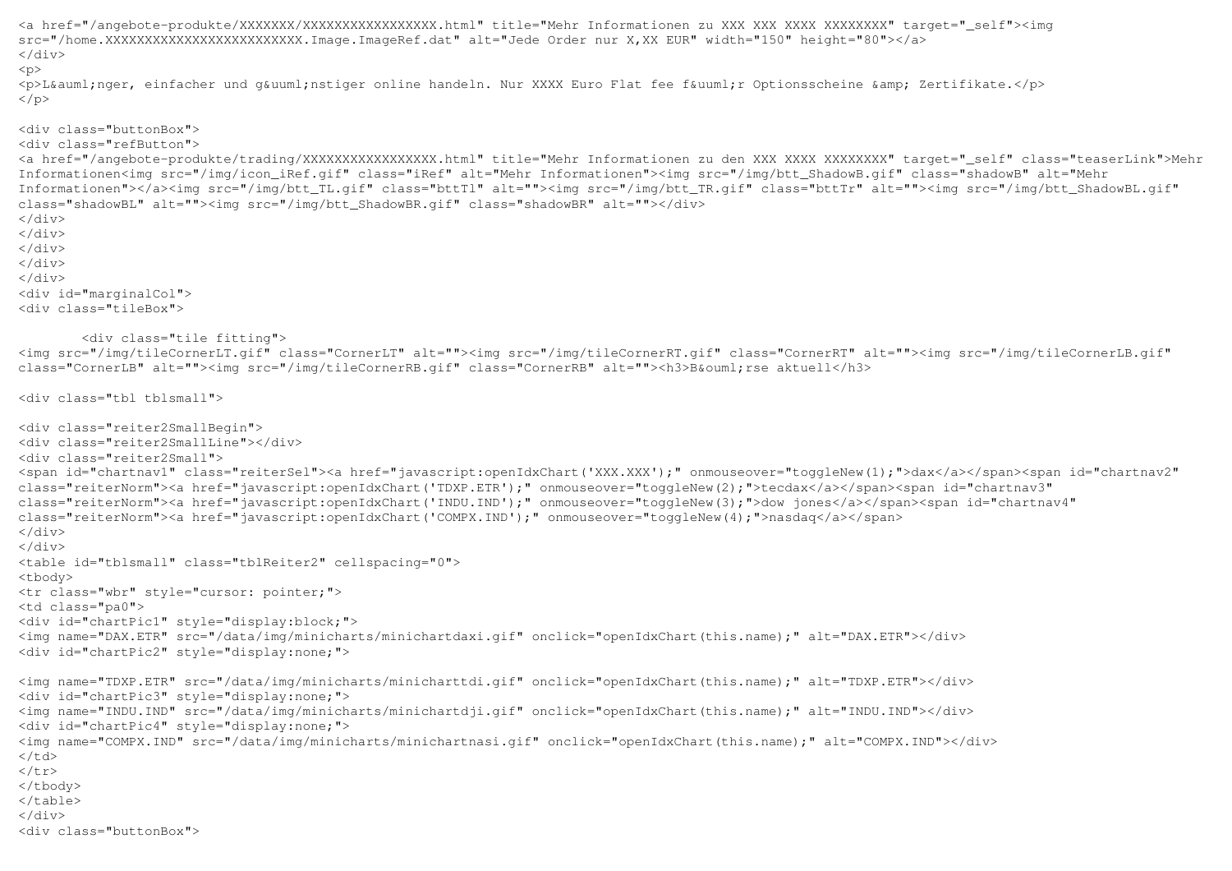```
<a href="/angebote-produkte/XXXXXXX/XXXXXXXXXXXXXXXXX.html" title="Mehr Informationen zu XXX XXX XXXX XXXXXXXX" target="_self"><img src="/home.XXXXXXXXXXXXXXXXXXXXXXXXX.Image.ImageRef.dat" alt="Jede Order nur X,XX EUR" width="150" height="80"></a> \langlediv>
p
```
<p>L&auml;nger, einfacher und g&uuml;nstiger online handeln. Nur XXXX Euro Flat fee f&uuml;r Optionsscheine &amp; Zertifikate.</p>  $\langle$ /p>

## <div class="buttonBox">

<div class="refButton">

 <a href="/angebote-produkte/trading/XXXXXXXXXXXXXXXXX.html" title="Mehr Informationen zu den XXX XXXX XXXXXXXX" target="\_self" class="teaserLink">Mehr Informationen<img src="/img/icon\_iRef.gif" class="iRef" alt="Mehr Informationen"><img src="/img/btt\_ShadowB.gif" class="shadowB" alt="Mehr Informationen"></a><img src="/img/btt\_TL.gif" class="bttTl" alt=""><img src="/img/btt\_TR.gif" class="bttTr" alt=""><img src="/img/btt\_ShadowBL.gif" class="shadowBL" alt=""><img src="/img/btt\_ShadowBR.gif" class="shadowBR" alt=""></div>  $\langle$ div>

 </div> </div>

</div>

</div>

 <div id="marginalCol"> <div class="tileBox">

## <div class="tile fitting">

 <img src="/img/tileCornerLT.gif" class="CornerLT" alt=""><img src="/img/tileCornerRT.gif" class="CornerRT" alt=""><img src="/img/tileCornerLB.gif" class="CornerLB" alt=""><img src="/img/tileCornerRB.gif" class="CornerRB" alt=""><h3>B&ouml;rse aktuell</h3>

```
<div class="tbl tblsmall">
```

```
<div class="reiter2SmallBegin"> 
<div class="reiter2SmallLine"></div> <div class="reiter2Small"> 
<span id="chartnav1" class="reiterSel"><a href="javascript:openIdxChart('XXX.XXX');" onmouseover="toggleNew(1);">dax</a></span><span id="chartnav2" class="reiterNorm"><a href="javascript:openIdxChart('TDXP.ETR');" onmouseover="toggleNew(2);">tecdax</a></span><span id="chartnav3" 
class="reiterNorm"><a href="javascript:openIdxChart('INDU.IND');" onmouseover="toggleNew(3);">dow jones</a></span><span id="chartnav4" class="reiterNorm"><a href="javascript:openIdxChart('COMPX.IND');" onmouseover="toggleNew(4);">nasdaq</a></span>
</div> 
</div> 
<table id="tblsmall" class="tblReiter2" cellspacing="0"> <tbody> 
<tr class="wbr" style="cursor: pointer;"> <td class="pa0"> 
<div id="chartPic1" style="display:block;"> 
<img name="DAX.ETR" src="/data/img/minicharts/minichartdaxi.gif" onclick="openIdxChart(this.name);" alt="DAX.ETR"></div> <div id="chartPic2" style="display:none;"> <img name="TDXP.ETR" src="/data/img/minicharts/minicharttdi.gif" onclick="openIdxChart(this.name);" alt="TDXP.ETR"></div> <div id="chartPic3" style="display:none;"> 
<img name="INDU.IND" src="/data/img/minicharts/minichartdji.gif" onclick="openIdxChart(this.name);" alt="INDU.IND"></div> <div id="chartPic4" style="display:none;"> 
<img name="COMPX.IND" src="/data/img/minicharts/minichartnasi.gif" onclick="openIdxChart(this.name);" alt="COMPX.IND"></div> \langle/td>

</tr> 
</tbody> 
</table> </div> 
<div class="buttonBox">
```